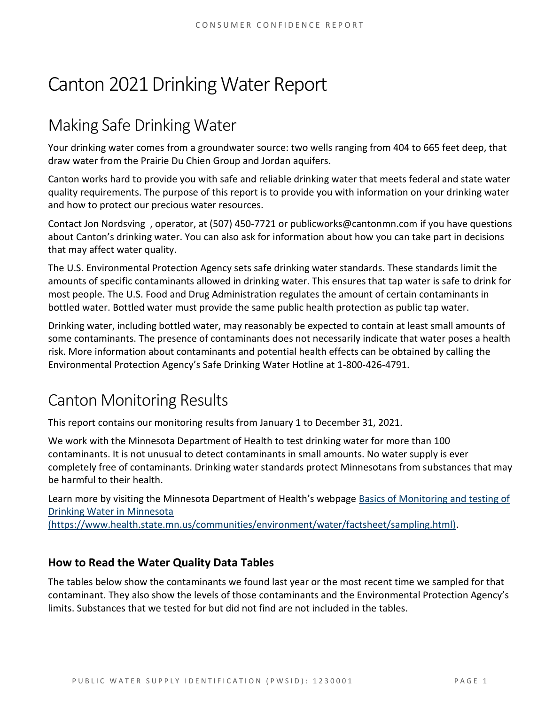# Canton 2021 Drinking Water Report

# Making Safe Drinking Water

Your drinking water comes from a groundwater source: two wells ranging from 404 to 665 feet deep, that draw water from the Prairie Du Chien Group and Jordan aquifers.

Canton works hard to provide you with safe and reliable drinking water that meets federal and state water quality requirements. The purpose of this report is to provide you with information on your drinking water and how to protect our precious water resources.

Contact Jon Nordsving , operator, at (507) 450-7721 or publicworks@cantonmn.com if you have questions about Canton's drinking water. You can also ask for information about how you can take part in decisions that may affect water quality.

The U.S. Environmental Protection Agency sets safe drinking water standards. These standards limit the amounts of specific contaminants allowed in drinking water. This ensures that tap water is safe to drink for most people. The U.S. Food and Drug Administration regulates the amount of certain contaminants in bottled water. Bottled water must provide the same public health protection as public tap water.

Drinking water, including bottled water, may reasonably be expected to contain at least small amounts of some contaminants. The presence of contaminants does not necessarily indicate that water poses a health risk. More information about contaminants and potential health effects can be obtained by calling the Environmental Protection Agency's Safe Drinking Water Hotline at 1-800-426-4791.

# Canton Monitoring Results

This report contains our monitoring results from January 1 to December 31, 2021.

We work with the Minnesota Department of Health to test drinking water for more than 100 contaminants. It is not unusual to detect contaminants in small amounts. No water supply is ever completely free of contaminants. Drinking water standards protect Minnesotans from substances that may be harmful to their health.

Learn more by visiting the Minnesota Department of Health's webpage [Basics of Monitoring and testing of](https://www.health.state.mn.us/communities/environment/water/factsheet/sampling.html)  [Drinking Water in Minnesota](https://www.health.state.mn.us/communities/environment/water/factsheet/sampling.html) 

[\(https://www.health.state.mn.us/communities/environment/water/factsheet/sampling.html\).](https://www.health.state.mn.us/communities/environment/water/factsheet/sampling.html)

## **How to Read the Water Quality Data Tables**

The tables below show the contaminants we found last year or the most recent time we sampled for that contaminant. They also show the levels of those contaminants and the Environmental Protection Agency's limits. Substances that we tested for but did not find are not included in the tables.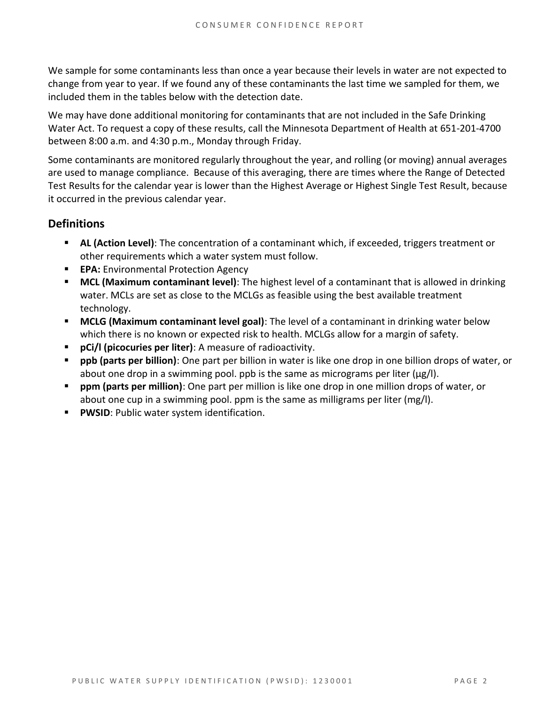We sample for some contaminants less than once a year because their levels in water are not expected to change from year to year. If we found any of these contaminants the last time we sampled for them, we included them in the tables below with the detection date.

We may have done additional monitoring for contaminants that are not included in the Safe Drinking Water Act. To request a copy of these results, call the Minnesota Department of Health at 651-201-4700 between 8:00 a.m. and 4:30 p.m., Monday through Friday.

Some contaminants are monitored regularly throughout the year, and rolling (or moving) annual averages are used to manage compliance. Because of this averaging, there are times where the Range of Detected Test Results for the calendar year is lower than the Highest Average or Highest Single Test Result, because it occurred in the previous calendar year.

#### **Definitions**

- AL (Action Level): The concentration of a contaminant which, if exceeded, triggers treatment or other requirements which a water system must follow.
- **EPA:** Environmental Protection Agency
- **MCL (Maximum contaminant level)**: The highest level of a contaminant that is allowed in drinking water. MCLs are set as close to the MCLGs as feasible using the best available treatment technology.
- **MCLG (Maximum contaminant level goal)**: The level of a contaminant in drinking water below which there is no known or expected risk to health. MCLGs allow for a margin of safety.
- **pCi/l (picocuries per liter)**: A measure of radioactivity.
- **ppb (parts per billion)**: One part per billion in water is like one drop in one billion drops of water, or about one drop in a swimming pool. ppb is the same as micrograms per liter ( $\mu$ g/l).
- **ppm (parts per million)**: One part per million is like one drop in one million drops of water, or about one cup in a swimming pool. ppm is the same as milligrams per liter (mg/l).
- **PWSID: Public water system identification.**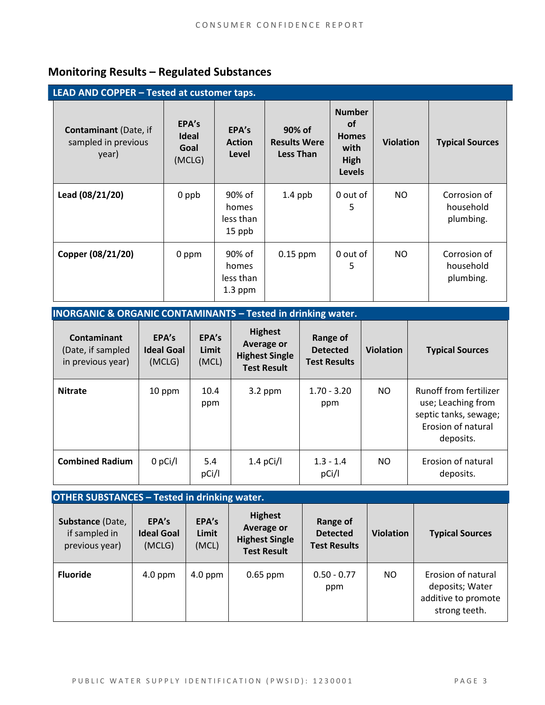# **Monitoring Results – Regulated Substances**

| LEAD AND COPPER - Tested at customer taps.                   |                                         |                                           |                                            |                                                                             |                  |                                        |
|--------------------------------------------------------------|-----------------------------------------|-------------------------------------------|--------------------------------------------|-----------------------------------------------------------------------------|------------------|----------------------------------------|
| <b>Contaminant</b> (Date, if<br>sampled in previous<br>year) | EPA's<br><b>Ideal</b><br>Goal<br>(MCLG) | EPA's<br><b>Action</b><br>Level           | 90% of<br><b>Results Were</b><br>Less Than | <b>Number</b><br><b>of</b><br><b>Homes</b><br>with<br>High<br><b>Levels</b> | <b>Violation</b> | <b>Typical Sources</b>                 |
| Lead (08/21/20)                                              | 0 ppb                                   | 90% of<br>homes<br>less than<br>15 ppb    | $1.4$ ppb                                  | 0 out of<br>5                                                               | NO.              | Corrosion of<br>household<br>plumbing. |
| Copper (08/21/20)                                            | 0 ppm                                   | 90% of<br>homes<br>less than<br>$1.3$ ppm | $0.15$ ppm                                 | 0 out of<br>5                                                               | NO.              | Corrosion of<br>household<br>plumbing. |

# **INORGANIC & ORGANIC CONTAMINANTS – Tested in drinking water.**

| Contaminant<br>(Date, if sampled<br>in previous year) | EPA's<br><b>Ideal Goal</b><br>(MCLG) | EPA's<br>Limit<br>(MCL) | <b>Highest</b><br>Average or<br><b>Highest Single</b><br><b>Test Result</b> | Range of<br><b>Detected</b><br><b>Test Results</b> | <b>Violation</b> | <b>Typical Sources</b>                                                                                          |
|-------------------------------------------------------|--------------------------------------|-------------------------|-----------------------------------------------------------------------------|----------------------------------------------------|------------------|-----------------------------------------------------------------------------------------------------------------|
| <b>Nitrate</b>                                        | 10 ppm                               | 10.4<br>ppm             | $3.2$ ppm                                                                   | $1.70 - 3.20$<br>ppm                               | NO               | <b>Runoff from fertilizer</b><br>use; Leaching from<br>septic tanks, sewage;<br>Erosion of natural<br>deposits. |
| <b>Combined Radium</b>                                | 0 pCi/l                              | 5.4<br>pCi/l            | 1.4 $pCi/I$                                                                 | $1.3 - 1.4$<br>pCi/l                               | NO.              | Erosion of natural<br>deposits.                                                                                 |

# **OTHER SUBSTANCES – Tested in drinking water.**

| Substance (Date,<br>if sampled in<br>previous year) | EPA's<br><b>Ideal Goal</b><br>(MCLG) | EPA's<br>Limit<br>(MCL) | <b>Highest</b><br><b>Average or</b><br><b>Highest Single</b><br><b>Test Result</b> | Range of<br><b>Detected</b><br><b>Test Results</b> | <b>Violation</b> | <b>Typical Sources</b>                                                        |
|-----------------------------------------------------|--------------------------------------|-------------------------|------------------------------------------------------------------------------------|----------------------------------------------------|------------------|-------------------------------------------------------------------------------|
| <b>Fluoride</b>                                     | $4.0$ ppm                            | $4.0$ ppm               | $0.65$ ppm                                                                         | $0.50 - 0.77$<br>ppm                               | NO.              | Erosion of natural<br>deposits; Water<br>additive to promote<br>strong teeth. |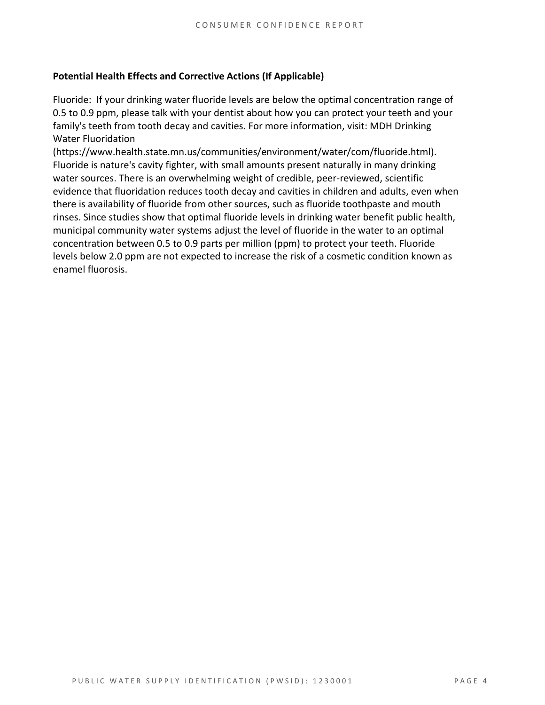#### **Potential Health Effects and Corrective Actions (If Applicable)**

Fluoride: If your drinking water fluoride levels are below the optimal concentration range of 0.5 to 0.9 ppm, please talk with your dentist about how you can protect your teeth and your family's teeth from tooth decay and cavities. For more information, visit: MDH Drinking Water Fluoridation

(https://www.health.state.mn.us/communities/environment/water/com/fluoride.html). Fluoride is nature's cavity fighter, with small amounts present naturally in many drinking water sources. There is an overwhelming weight of credible, peer-reviewed, scientific evidence that fluoridation reduces tooth decay and cavities in children and adults, even when there is availability of fluoride from other sources, such as fluoride toothpaste and mouth rinses. Since studies show that optimal fluoride levels in drinking water benefit public health, municipal community water systems adjust the level of fluoride in the water to an optimal concentration between 0.5 to 0.9 parts per million (ppm) to protect your teeth. Fluoride levels below 2.0 ppm are not expected to increase the risk of a cosmetic condition known as enamel fluorosis.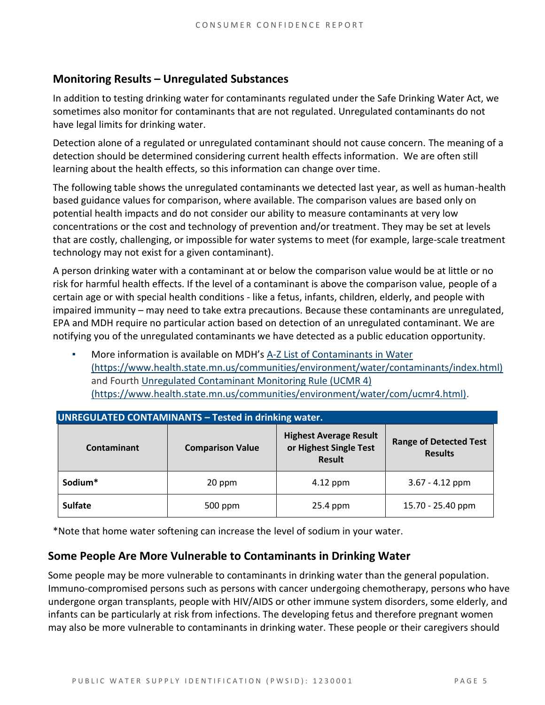## **Monitoring Results – Unregulated Substances**

In addition to testing drinking water for contaminants regulated under the Safe Drinking Water Act, we sometimes also monitor for contaminants that are not regulated. Unregulated contaminants do not have legal limits for drinking water.

Detection alone of a regulated or unregulated contaminant should not cause concern. The meaning of a detection should be determined considering current health effects information. We are often still learning about the health effects, so this information can change over time.

The following table shows the unregulated contaminants we detected last year, as well as human-health based guidance values for comparison, where available. The comparison values are based only on potential health impacts and do not consider our ability to measure contaminants at very low concentrations or the cost and technology of prevention and/or treatment. They may be set at levels that are costly, challenging, or impossible for water systems to meet (for example, large-scale treatment technology may not exist for a given contaminant).

A person drinking water with a contaminant at or below the comparison value would be at little or no risk for harmful health effects. If the level of a contaminant is above the comparison value, people of a certain age or with special health conditions - like a fetus, infants, children, elderly, and people with impaired immunity – may need to take extra precautions. Because these contaminants are unregulated, EPA and MDH require no particular action based on detection of an unregulated contaminant. We are notifying you of the unregulated contaminants we have detected as a public education opportunity.

More information is available on MDH's A-Z List of Contaminants in Water [\(https://www.health.state.mn.us/communities/environment/water/contaminants/index.html\)](https://www.health.state.mn.us/communities/environment/water/contaminants/index.html) and Fourth [Unregulated Contaminant Monitoring Rule \(UCMR 4\)](https://www.health.state.mn.us/communities/environment/water/com/ucmr4.html)  [\(https://www.health.state.mn.us/communities/environment/water/com/ucmr4.html\).](https://www.health.state.mn.us/communities/environment/water/com/ucmr4.html)

| <b>UNREGULATED CONTAMINANTS - Tested in drinking water.</b> |                         |                                                                          |                                                 |  |  |  |  |
|-------------------------------------------------------------|-------------------------|--------------------------------------------------------------------------|-------------------------------------------------|--|--|--|--|
| Contaminant                                                 | <b>Comparison Value</b> | <b>Highest Average Result</b><br>or Highest Single Test<br><b>Result</b> | <b>Range of Detected Test</b><br><b>Results</b> |  |  |  |  |
| Sodium*                                                     | 20 ppm                  | $4.12$ ppm                                                               | $3.67 - 4.12$ ppm                               |  |  |  |  |
| <b>Sulfate</b>                                              | 500 ppm                 | 25.4 ppm                                                                 | 15.70 - 25.40 ppm                               |  |  |  |  |

\*Note that home water softening can increase the level of sodium in your water.

#### **Some People Are More Vulnerable to Contaminants in Drinking Water**

Some people may be more vulnerable to contaminants in drinking water than the general population. Immuno-compromised persons such as persons with cancer undergoing chemotherapy, persons who have undergone organ transplants, people with HIV/AIDS or other immune system disorders, some elderly, and infants can be particularly at risk from infections. The developing fetus and therefore pregnant women may also be more vulnerable to contaminants in drinking water. These people or their caregivers should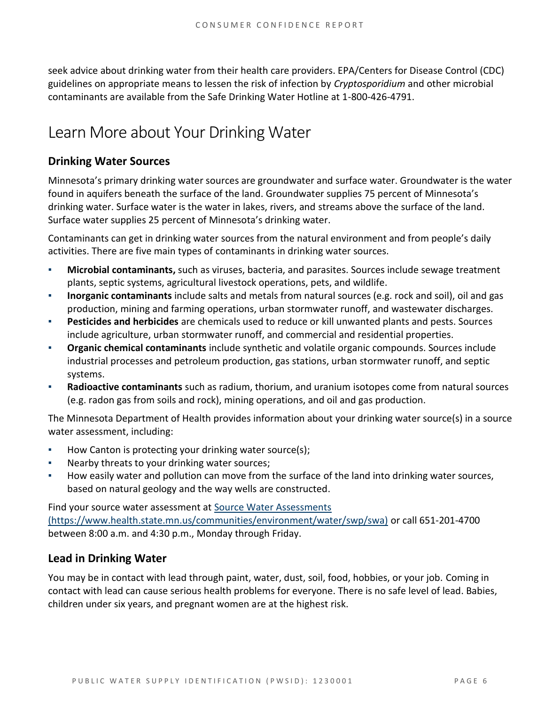seek advice about drinking water from their health care providers. EPA/Centers for Disease Control (CDC) guidelines on appropriate means to lessen the risk of infection by *Cryptosporidium* and other microbial contaminants are available from the Safe Drinking Water Hotline at 1-800-426-4791.

# Learn More about Your Drinking Water

## **Drinking Water Sources**

Minnesota's primary drinking water sources are groundwater and surface water. Groundwater is the water found in aquifers beneath the surface of the land. Groundwater supplies 75 percent of Minnesota's drinking water. Surface water is the water in lakes, rivers, and streams above the surface of the land. Surface water supplies 25 percent of Minnesota's drinking water.

Contaminants can get in drinking water sources from the natural environment and from people's daily activities. There are five main types of contaminants in drinking water sources.

- **Microbial contaminants,** such as viruses, bacteria, and parasites. Sources include sewage treatment plants, septic systems, agricultural livestock operations, pets, and wildlife.
- **Inorganic contaminants** include salts and metals from natural sources (e.g. rock and soil), oil and gas production, mining and farming operations, urban stormwater runoff, and wastewater discharges.
- **Pesticides and herbicides** are chemicals used to reduce or kill unwanted plants and pests. Sources include agriculture, urban stormwater runoff, and commercial and residential properties.
- **Organic chemical contaminants** include synthetic and volatile organic compounds. Sources include industrial processes and petroleum production, gas stations, urban stormwater runoff, and septic systems.
- **Radioactive contaminants** such as radium, thorium, and uranium isotopes come from natural sources (e.g. radon gas from soils and rock), mining operations, and oil and gas production.

The Minnesota Department of Health provides information about your drinking water source(s) in a source water assessment, including:

- How Canton is protecting your drinking water source(s);
- Nearby threats to your drinking water sources;
- How easily water and pollution can move from the surface of the land into drinking water sources, based on natural geology and the way wells are constructed.

Find your source water assessment at [Source Water Assessments](https://www.health.state.mn.us/communities/environment/water/swp/swa)  [\(https://www.health.state.mn.us/communities/environment/water/swp/swa\)](https://www.health.state.mn.us/communities/environment/water/swp/swa) or call 651-201-4700 between 8:00 a.m. and 4:30 p.m., Monday through Friday.

## **Lead in Drinking Water**

You may be in contact with lead through paint, water, dust, soil, food, hobbies, or your job. Coming in contact with lead can cause serious health problems for everyone. There is no safe level of lead. Babies, children under six years, and pregnant women are at the highest risk.